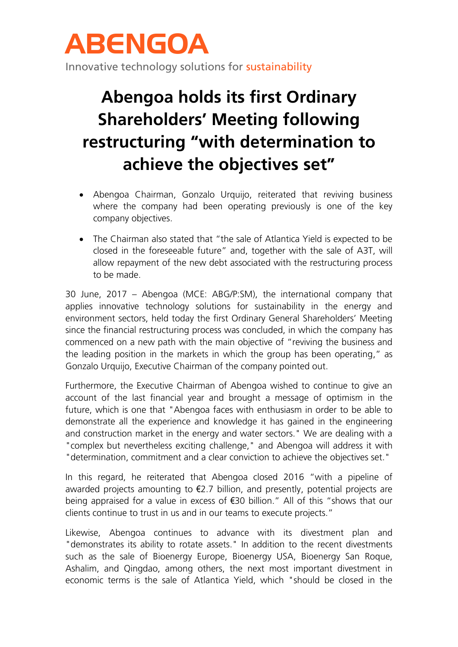

## **Abengoa holds its first Ordinary Shareholders' Meeting following restructuring "with determination to achieve the objectives set"**

- Abengoa Chairman, Gonzalo Urquijo, reiterated that reviving business where the company had been operating previously is one of the key company objectives.
- The Chairman also stated that "the sale of Atlantica Yield is expected to be closed in the foreseeable future" and, together with the sale of A3T, will allow repayment of the new debt associated with the restructuring process to be made.

30 June, 2017 – Abengoa (MCE: ABG/P:SM), the international company that applies innovative technology solutions for sustainability in the energy and environment sectors, held today the first Ordinary General Shareholders' Meeting since the financial restructuring process was concluded, in which the company has commenced on a new path with the main objective of "reviving the business and the leading position in the markets in which the group has been operating," as Gonzalo Urquijo, Executive Chairman of the company pointed out.

Furthermore, the Executive Chairman of Abengoa wished to continue to give an account of the last financial year and brought a message of optimism in the future, which is one that "Abengoa faces with enthusiasm in order to be able to demonstrate all the experience and knowledge it has gained in the engineering and construction market in the energy and water sectors." We are dealing with a "complex but nevertheless exciting challenge," and Abengoa will address it with "determination, commitment and a clear conviction to achieve the objectives set."

In this regard, he reiterated that Abengoa closed 2016 "with a pipeline of awarded projects amounting to  $\epsilon$ 2.7 billion, and presently, potential projects are being appraised for a value in excess of €30 billion." All of this "shows that our clients continue to trust in us and in our teams to execute projects."

Likewise, Abengoa continues to advance with its divestment plan and "demonstrates its ability to rotate assets." In addition to the recent divestments such as the sale of Bioenergy Europe, Bioenergy USA, Bioenergy San Roque, Ashalim, and Qingdao, among others, the next most important divestment in economic terms is the sale of Atlantica Yield, which "should be closed in the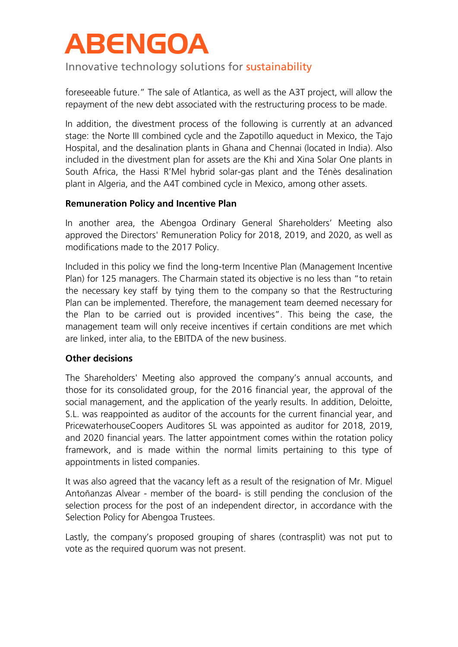# **ABENGOA**

Innovative technology solutions for sustainability

foreseeable future." The sale of Atlantica, as well as the A3T project, will allow the repayment of the new debt associated with the restructuring process to be made.

In addition, the divestment process of the following is currently at an advanced stage: the Norte III combined cycle and the Zapotillo aqueduct in Mexico, the Tajo Hospital, and the desalination plants in Ghana and Chennai (located in India). Also included in the divestment plan for assets are the Khi and Xina Solar One plants in South Africa, the Hassi R'Mel hybrid solar-gas plant and the Ténès desalination plant in Algeria, and the A4T combined cycle in Mexico, among other assets.

### **Remuneration Policy and Incentive Plan**

In another area, the Abengoa Ordinary General Shareholders' Meeting also approved the Directors' Remuneration Policy for 2018, 2019, and 2020, as well as modifications made to the 2017 Policy.

Included in this policy we find the long-term Incentive Plan (Management Incentive Plan) for 125 managers. The Charmain stated its objective is no less than "to retain the necessary key staff by tying them to the company so that the Restructuring Plan can be implemented. Therefore, the management team deemed necessary for the Plan to be carried out is provided incentives". This being the case, the management team will only receive incentives if certain conditions are met which are linked, inter alia, to the EBITDA of the new business.

#### **Other decisions**

The Shareholders' Meeting also approved the company's annual accounts, and those for its consolidated group, for the 2016 financial year, the approval of the social management, and the application of the yearly results. In addition, Deloitte, S.L. was reappointed as auditor of the accounts for the current financial year, and PricewaterhouseCoopers Auditores SL was appointed as auditor for 2018, 2019, and 2020 financial years. The latter appointment comes within the rotation policy framework, and is made within the normal limits pertaining to this type of appointments in listed companies.

It was also agreed that the vacancy left as a result of the resignation of Mr. Miguel Antoñanzas Alvear - member of the board- is still pending the conclusion of the selection process for the post of an independent director, in accordance with the Selection Policy for Abengoa Trustees.

Lastly, the company's proposed grouping of shares (contrasplit) was not put to vote as the required quorum was not present.